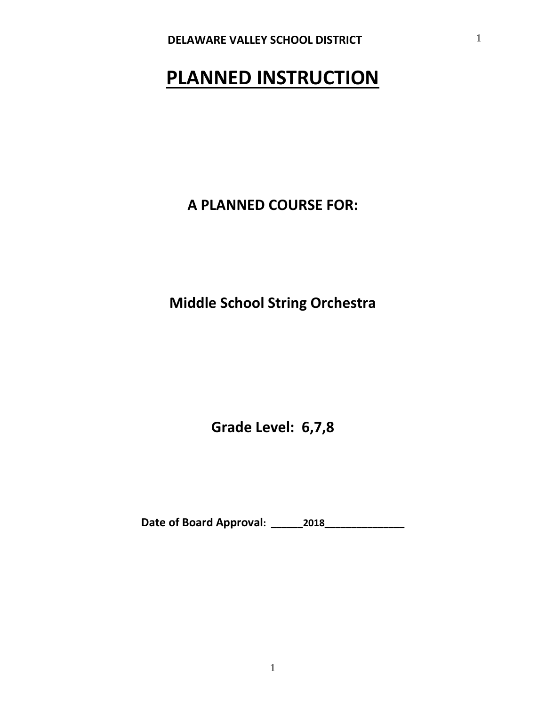# **PLANNED INSTRUCTION**

**A PLANNED COURSE FOR:**

**Middle School String Orchestra**

**Grade Level: 6,7,8**

**Date of Board Approval: \_\_\_\_\_\_2018\_\_\_\_\_\_\_\_\_\_\_\_\_\_\_**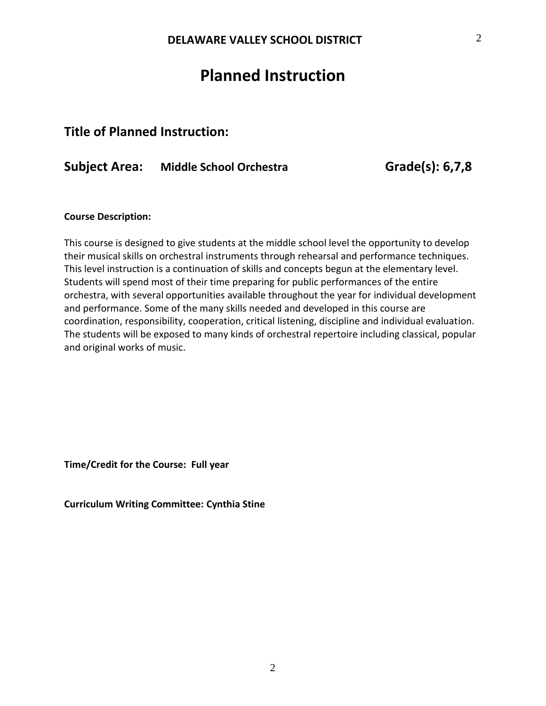## **Planned Instruction**

## **Title of Planned Instruction:**

## **Subject Area: Middle School Orchestra Grade(s): 6,7,8**

### **Course Description:**

This course is designed to give students at the middle school level the opportunity to develop their musical skills on orchestral instruments through rehearsal and performance techniques. This level instruction is a continuation of skills and concepts begun at the elementary level. Students will spend most of their time preparing for public performances of the entire orchestra, with several opportunities available throughout the year for individual development and performance. Some of the many skills needed and developed in this course are coordination, responsibility, cooperation, critical listening, discipline and individual evaluation. The students will be exposed to many kinds of orchestral repertoire including classical, popular and original works of music.

**Time/Credit for the Course: Full year**

**Curriculum Writing Committee: Cynthia Stine**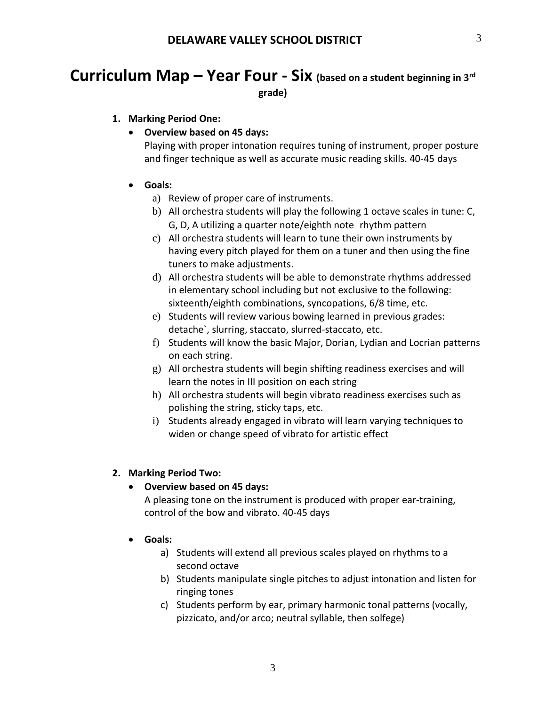# **Curriculum Map – Year Four - Six (based on a student beginning in 3rd**

**grade)**

## **1. Marking Period One:**

## **Overview based on 45 days:**

Playing with proper intonation requires tuning of instrument, proper posture and finger technique as well as accurate music reading skills. 40‐45 days

## **Goals:**

- a) Review of proper care of instruments.
- b) All orchestra students will play the following 1 octave scales in tune: C, G, D, A utilizing a quarter note/eighth note rhythm pattern
- c) All orchestra students will learn to tune their own instruments by having every pitch played for them on a tuner and then using the fine tuners to make adjustments.
- d) All orchestra students will be able to demonstrate rhythms addressed in elementary school including but not exclusive to the following: sixteenth/eighth combinations, syncopations, 6/8 time, etc.
- e) Students will review various bowing learned in previous grades: detache`, slurring, staccato, slurred‐staccato, etc.
- f) Students will know the basic Major, Dorian, Lydian and Locrian patterns on each string.
- g) All orchestra students will begin shifting readiness exercises and will learn the notes in III position on each string
- h) All orchestra students will begin vibrato readiness exercises such as polishing the string, sticky taps, etc.
- i) Students already engaged in vibrato will learn varying techniques to widen or change speed of vibrato for artistic effect

## **2. Marking Period Two:**

## **Overview based on 45 days:**

A pleasing tone on the instrument is produced with proper ear‐training, control of the bow and vibrato. 40‐45 days

- **Goals:**
	- a) Students will extend all previous scales played on rhythms to a second octave
	- b) Students manipulate single pitches to adjust intonation and listen for ringing tones
	- c) Students perform by ear, primary harmonic tonal patterns (vocally, pizzicato, and/or arco; neutral syllable, then solfege)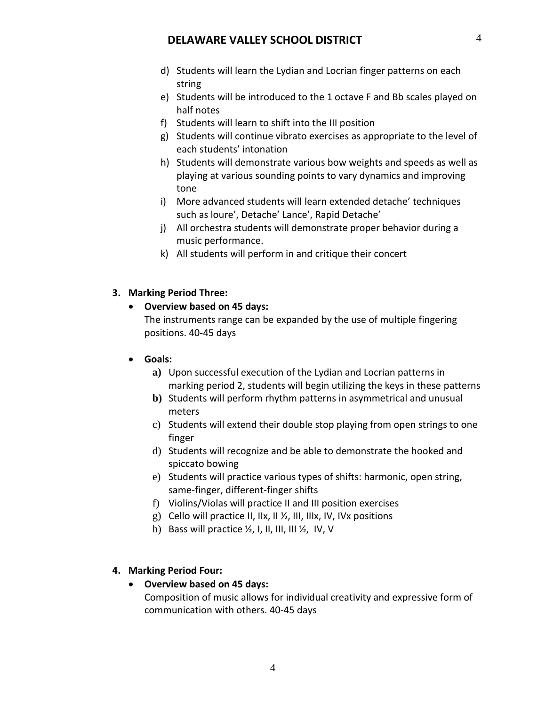- d) Students will learn the Lydian and Locrian finger patterns on each string
- e) Students will be introduced to the 1 octave F and Bb scales played on half notes
- f) Students will learn to shift into the III position
- g) Students will continue vibrato exercises as appropriate to the level of each students' intonation
- h) Students will demonstrate various bow weights and speeds as well as playing at various sounding points to vary dynamics and improving tone
- i) More advanced students will learn extended detache' techniques such as loure', Detache' Lance', Rapid Detache'
- j) All orchestra students will demonstrate proper behavior during a music performance.
- k) All students will perform in and critique their concert

### **3. Marking Period Three:**

### **Overview based on 45 days:**

The instruments range can be expanded by the use of multiple fingering positions. 40‐45 days

### **Goals:**

- **a)** Upon successful execution of the Lydian and Locrian patterns in marking period 2, students will begin utilizing the keys in these patterns
- **b)** Students will perform rhythm patterns in asymmetrical and unusual meters
- c) Students will extend their double stop playing from open strings to one finger
- d) Students will recognize and be able to demonstrate the hooked and spiccato bowing
- e) Students will practice various types of shifts: harmonic, open string, same‐finger, different‐finger shifts
- f) Violins/Violas will practice II and III position exercises
- g) Cello will practice II, IIx, II ½, III, IIIx, IV, IVx positions
- h) Bass will practice  $\frac{1}{2}$ , I, II, III, III  $\frac{1}{2}$ , IV, V

## **4. Marking Period Four:**

 **Overview based on 45 days:** Composition of music allows for individual creativity and expressive form of communication with others. 40‐45 days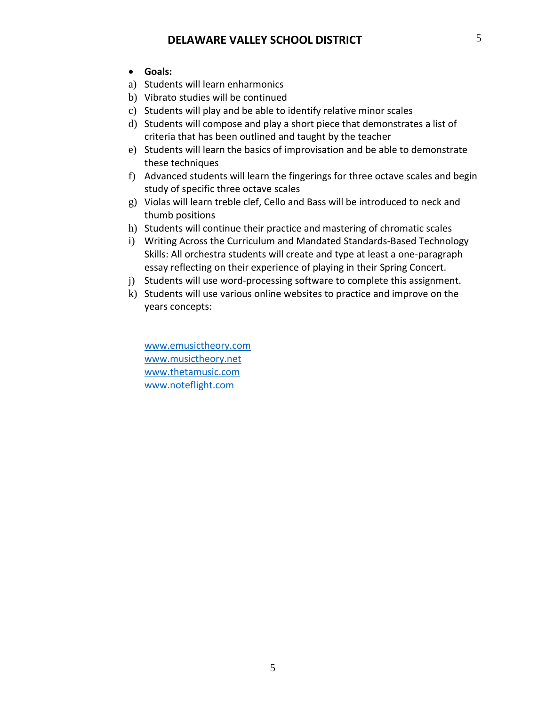- **Goals:**
- a) Students will learn enharmonics
- b) Vibrato studies will be continued
- c) Students will play and be able to identify relative minor scales
- d) Students will compose and play a short piece that demonstrates a list of criteria that has been outlined and taught by the teacher
- e) Students will learn the basics of improvisation and be able to demonstrate these techniques
- f) Advanced students will learn the fingerings for three octave scales and begin study of specific three octave scales
- g) Violas will learn treble clef, Cello and Bass will be introduced to neck and thumb positions
- h) Students will continue their practice and mastering of chromatic scales
- i) Writing Across the Curriculum and Mandated Standards‐Based Technology Skills: All orchestra students will create and type at least a one‐paragraph essay reflecting on their experience of playing in their Spring Concert.
- j) Students will use word‐processing software to complete this assignment.
- k) Students will use various online websites to practice and improve on the years concepts:

[www.emusictheory.com](http://www.emusictheory.com/) [www.musictheory.net](http://www.musictheory.net/) [www.thetamusic.com](http://www.thetamusic.com/) [www.noteflight.com](http://www.noteflight.com/)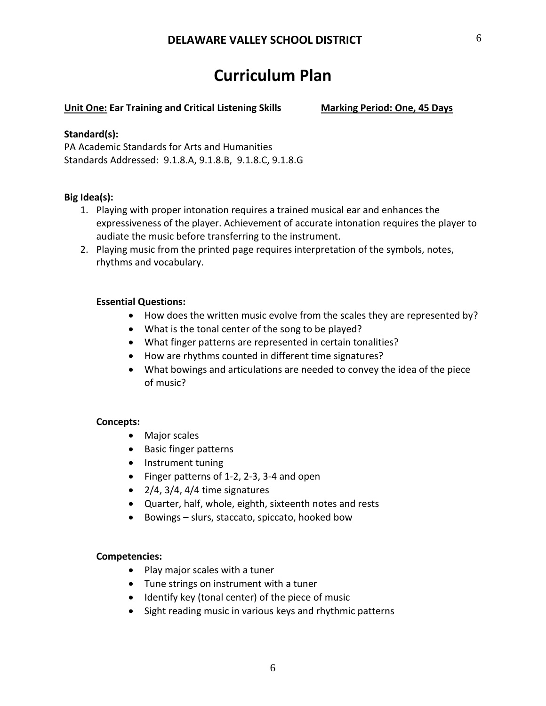## **Curriculum Plan**

### **Unit One: Ear Training and Critical Listening Skills Marking Period: One, 45 Days**

### **Standard(s):**

PA Academic Standards for Arts and Humanities Standards Addressed: 9.1.8.A, 9.1.8.B, 9.1.8.C, 9.1.8.G

## **Big Idea(s):**

- 1. Playing with proper intonation requires a trained musical ear and enhances the expressiveness of the player. Achievement of accurate intonation requires the player to audiate the music before transferring to the instrument.
- 2. Playing music from the printed page requires interpretation of the symbols, notes, rhythms and vocabulary.

## **Essential Questions:**

- How does the written music evolve from the scales they are represented by?
- What is the tonal center of the song to be played?
- What finger patterns are represented in certain tonalities?
- How are rhythms counted in different time signatures?
- What bowings and articulations are needed to convey the idea of the piece of music?

### **Concepts:**

- Major scales
- Basic finger patterns
- Instrument tuning
- Finger patterns of 1‐2, 2‐3, 3‐4 and open
- $\bullet$  2/4, 3/4, 4/4 time signatures
- Quarter, half, whole, eighth, sixteenth notes and rests
- Bowings slurs, staccato, spiccato, hooked bow

### **Competencies:**

- Play major scales with a tuner
- Tune strings on instrument with a tuner
- Identify key (tonal center) of the piece of music
- Sight reading music in various keys and rhythmic patterns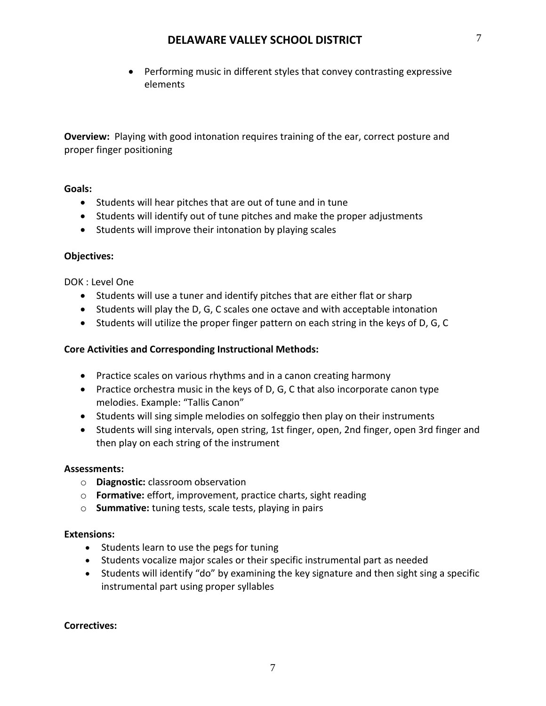Performing music in different styles that convey contrasting expressive elements

**Overview:** Playing with good intonation requires training of the ear, correct posture and proper finger positioning

## **Goals:**

- Students will hear pitches that are out of tune and in tune
- Students will identify out of tune pitches and make the proper adjustments
- Students will improve their intonation by playing scales

## **Objectives:**

DOK : Level One

- Students will use a tuner and identify pitches that are either flat or sharp
- Students will play the D, G, C scales one octave and with acceptable intonation
- Students will utilize the proper finger pattern on each string in the keys of D, G, C

## **Core Activities and Corresponding Instructional Methods:**

- Practice scales on various rhythms and in a canon creating harmony
- Practice orchestra music in the keys of D, G, C that also incorporate canon type melodies. Example: "Tallis Canon"
- Students will sing simple melodies on solfeggio then play on their instruments
- Students will sing intervals, open string, 1st finger, open, 2nd finger, open 3rd finger and then play on each string of the instrument

### **Assessments:**

- o **Diagnostic:** classroom observation
- o **Formative:** effort, improvement, practice charts, sight reading
- o **Summative:** tuning tests, scale tests, playing in pairs

### **Extensions:**

- Students learn to use the pegs for tuning
- Students vocalize major scales or their specific instrumental part as needed
- Students will identify "do" by examining the key signature and then sight sing a specific instrumental part using proper syllables

### **Correctives:**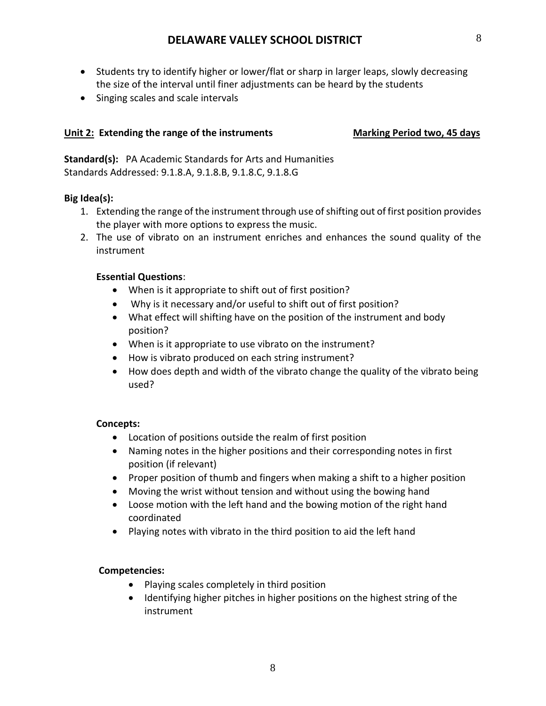- Students try to identify higher or lower/flat or sharp in larger leaps, slowly decreasing the size of the interval until finer adjustments can be heard by the students
- Singing scales and scale intervals

## **Unit 2: Extending the range of the instruments Marking Period two, 45 days**

**Standard(s):** PA Academic Standards for Arts and Humanities Standards Addressed: 9.1.8.A, 9.1.8.B, 9.1.8.C, 9.1.8.G

## **Big Idea(s):**

- 1. Extending the range of the instrument through use of shifting out of first position provides the player with more options to express the music.
- 2. The use of vibrato on an instrument enriches and enhances the sound quality of the instrument

## **Essential Questions**:

- When is it appropriate to shift out of first position?
- Why is it necessary and/or useful to shift out of first position?
- What effect will shifting have on the position of the instrument and body position?
- When is it appropriate to use vibrato on the instrument?
- How is vibrato produced on each string instrument?
- How does depth and width of the vibrato change the quality of the vibrato being used?

## **Concepts:**

- Location of positions outside the realm of first position
- Naming notes in the higher positions and their corresponding notes in first position (if relevant)
- Proper position of thumb and fingers when making a shift to a higher position
- Moving the wrist without tension and without using the bowing hand
- Loose motion with the left hand and the bowing motion of the right hand coordinated
- Playing notes with vibrato in the third position to aid the left hand

## **Competencies:**

- Playing scales completely in third position
- Identifying higher pitches in higher positions on the highest string of the instrument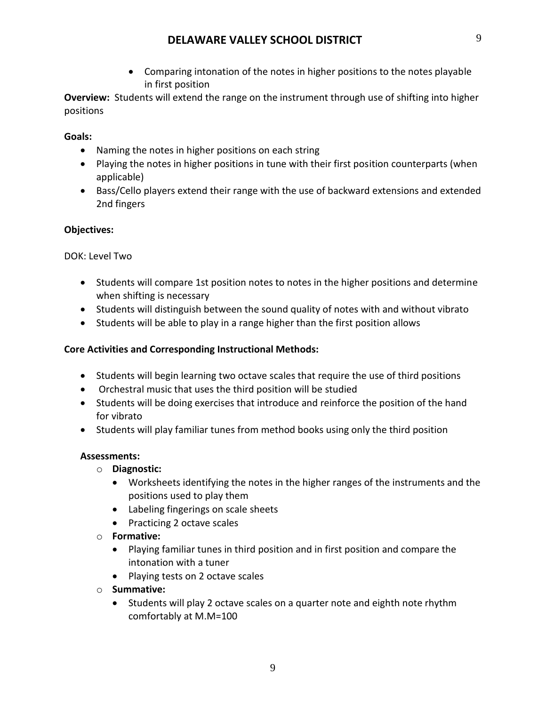Comparing intonation of the notes in higher positions to the notes playable in first position

**Overview:** Students will extend the range on the instrument through use of shifting into higher positions

## **Goals:**

- Naming the notes in higher positions on each string
- Playing the notes in higher positions in tune with their first position counterparts (when applicable)
- Bass/Cello players extend their range with the use of backward extensions and extended 2nd fingers

## **Objectives:**

## DOK: Level Two

- Students will compare 1st position notes to notes in the higher positions and determine when shifting is necessary
- Students will distinguish between the sound quality of notes with and without vibrato
- Students will be able to play in a range higher than the first position allows

## **Core Activities and Corresponding Instructional Methods:**

- Students will begin learning two octave scales that require the use of third positions
- Orchestral music that uses the third position will be studied
- Students will be doing exercises that introduce and reinforce the position of the hand for vibrato
- Students will play familiar tunes from method books using only the third position

## **Assessments:**

- o **Diagnostic:**
	- Worksheets identifying the notes in the higher ranges of the instruments and the positions used to play them
	- Labeling fingerings on scale sheets
	- Practicing 2 octave scales
- o **Formative:**
	- Playing familiar tunes in third position and in first position and compare the intonation with a tuner
	- Playing tests on 2 octave scales
- o **Summative:**
	- Students will play 2 octave scales on a quarter note and eighth note rhythm comfortably at M.M=100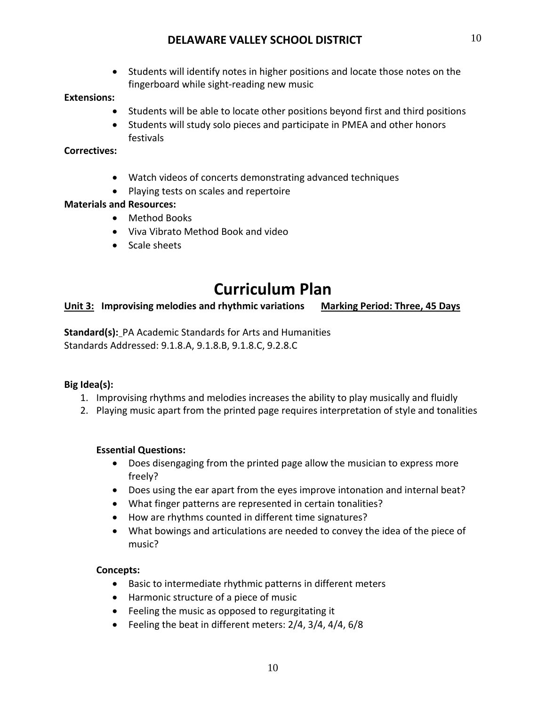Students will identify notes in higher positions and locate those notes on the fingerboard while sight‐reading new music

## **Extensions:**

- Students will be able to locate other positions beyond first and third positions
- Students will study solo pieces and participate in PMEA and other honors festivals

## **Correctives:**

- Watch videos of concerts demonstrating advanced techniques
- Playing tests on scales and repertoire

## **Materials and Resources:**

- Method Books
- Viva Vibrato Method Book and video
- Scale sheets

## **Curriculum Plan**

**Unit 3: Improvising melodies and rhythmic variations Marking Period: Three, 45 Days**

**Standard(s):** PA Academic Standards for Arts and Humanities Standards Addressed: 9.1.8.A, 9.1.8.B, 9.1.8.C, 9.2.8.C

## **Big Idea(s):**

- 1. Improvising rhythms and melodies increases the ability to play musically and fluidly
- 2. Playing music apart from the printed page requires interpretation of style and tonalities

## **Essential Questions:**

- Does disengaging from the printed page allow the musician to express more freely?
- Does using the ear apart from the eyes improve intonation and internal beat?
- What finger patterns are represented in certain tonalities?
- How are rhythms counted in different time signatures?
- What bowings and articulations are needed to convey the idea of the piece of music?

## **Concepts:**

- Basic to intermediate rhythmic patterns in different meters
- Harmonic structure of a piece of music
- Feeling the music as opposed to regurgitating it
- Feeling the beat in different meters: 2/4, 3/4, 4/4, 6/8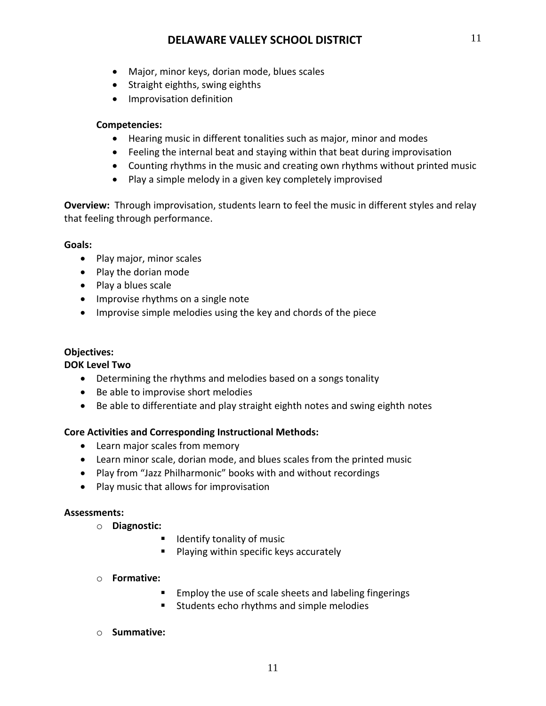- Major, minor keys, dorian mode, blues scales
- Straight eighths, swing eighths
- **•** Improvisation definition

## **Competencies:**

- Hearing music in different tonalities such as major, minor and modes
- Feeling the internal beat and staying within that beat during improvisation
- Counting rhythms in the music and creating own rhythms without printed music
- Play a simple melody in a given key completely improvised

**Overview:** Through improvisation, students learn to feel the music in different styles and relay that feeling through performance.

## **Goals:**

- Play major, minor scales
- Play the dorian mode
- Play a blues scale
- Improvise rhythms on a single note
- Improvise simple melodies using the key and chords of the piece

## **Objectives:**

## **DOK Level Two**

- Determining the rhythms and melodies based on a songs tonality
- Be able to improvise short melodies
- Be able to differentiate and play straight eighth notes and swing eighth notes

## **Core Activities and Corresponding Instructional Methods:**

- Learn major scales from memory
- Learn minor scale, dorian mode, and blues scales from the printed music
- Play from "Jazz Philharmonic" books with and without recordings
- Play music that allows for improvisation

### **Assessments:**

- o **Diagnostic:** 
	- **If** Identify tonality of music
	- **Playing within specific keys accurately**

## o **Formative:**

- **Employ the use of scale sheets and labeling fingerings**
- **Students echo rhythms and simple melodies**

## o **Summative:**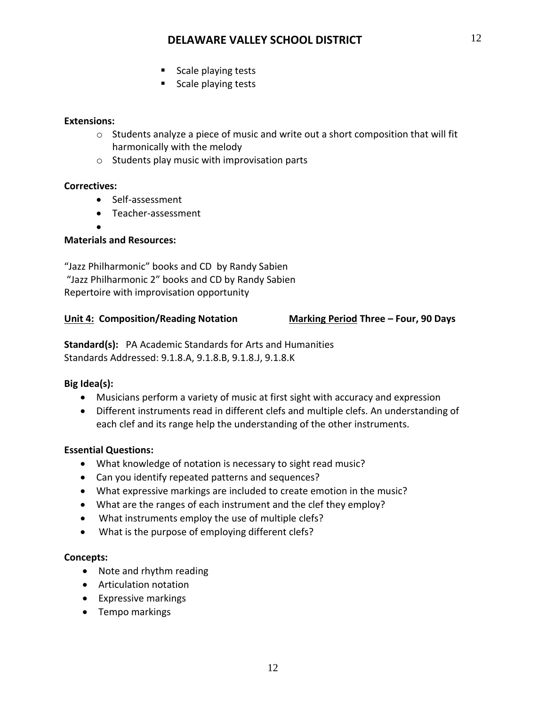- Scale playing tests
- Scale playing tests

## **Extensions:**

- $\circ$  Students analyze a piece of music and write out a short composition that will fit harmonically with the melody
- $\circ$  Students play music with improvisation parts

## **Correctives:**

- Self-assessment
- Teacher-assessment
- $\bullet$

## **Materials and Resources:**

"Jazz Philharmonic" books and CD by Randy Sabien "Jazz Philharmonic 2" books and CD by Randy Sabien Repertoire with improvisation opportunity

## **Unit 4: Composition/Reading Notation Marking Period Three – Four, 90 Days**

**Standard(s):** PA Academic Standards for Arts and Humanities Standards Addressed: 9.1.8.A, 9.1.8.B, 9.1.8.J, 9.1.8.K

## **Big Idea(s):**

- Musicians perform a variety of music at first sight with accuracy and expression
- Different instruments read in different clefs and multiple clefs. An understanding of each clef and its range help the understanding of the other instruments.

## **Essential Questions:**

- What knowledge of notation is necessary to sight read music?
- Can you identify repeated patterns and sequences?
- What expressive markings are included to create emotion in the music?
- What are the ranges of each instrument and the clef they employ?
- What instruments employ the use of multiple clefs?
- What is the purpose of employing different clefs?

## **Concepts:**

- Note and rhythm reading
- Articulation notation
- Expressive markings
- Tempo markings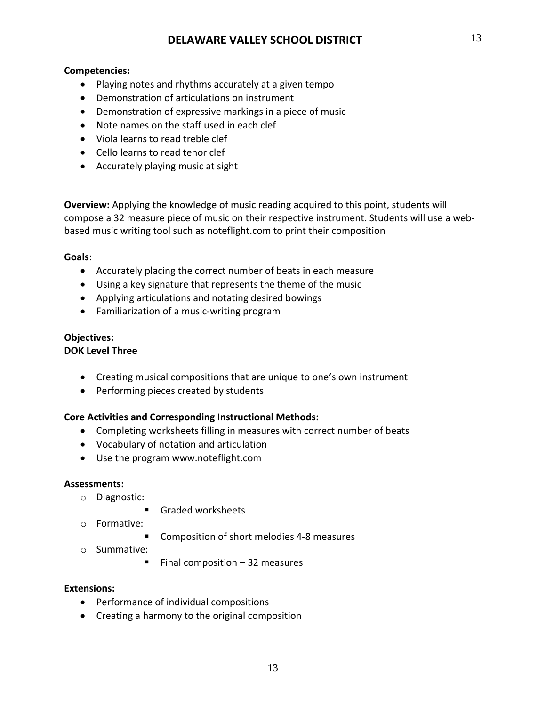## **Competencies:**

- Playing notes and rhythms accurately at a given tempo
- Demonstration of articulations on instrument
- Demonstration of expressive markings in a piece of music
- Note names on the staff used in each clef
- Viola learns to read treble clef
- Cello learns to read tenor clef
- Accurately playing music at sight

**Overview:** Applying the knowledge of music reading acquired to this point, students will compose a 32 measure piece of music on their respective instrument. Students will use a web‐ based music writing tool such as noteflight.com to print their composition

## **Goals**:

- Accurately placing the correct number of beats in each measure
- Using a key signature that represents the theme of the music
- Applying articulations and notating desired bowings
- Familiarization of a music-writing program

## **Objectives:**

## **DOK Level Three**

- Creating musical compositions that are unique to one's own instrument
- Performing pieces created by students

## **Core Activities and Corresponding Instructional Methods:**

- Completing worksheets filling in measures with correct number of beats
- Vocabulary of notation and articulation
- Use the program www.noteflight.com

## **Assessments:**

- o Diagnostic:
	- Graded worksheets
- o Formative:
	- Composition of short melodies 4-8 measures
- o Summative:
	- Final composition  $-32$  measures

## **Extensions:**

- Performance of individual compositions
- Creating a harmony to the original composition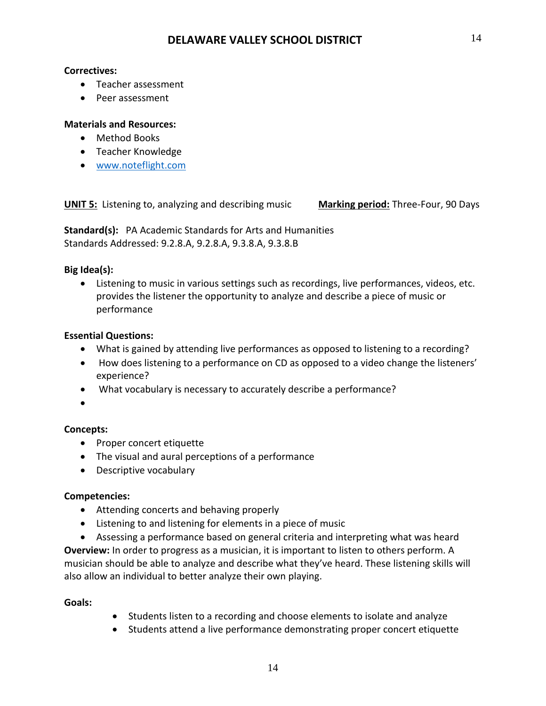## **Correctives:**

- Teacher assessment
- Peer assessment

## **Materials and Resources:**

- Method Books
- Teacher Knowledge
- [www.noteflight.com](http://www.noteflight.com/)

**UNIT 5:** Listening to, analyzing and describing music **Marking period:** Three-Four, 90 Days

**Standard(s):** PA Academic Standards for Arts and Humanities Standards Addressed: 9.2.8.A, 9.2.8.A, 9.3.8.A, 9.3.8.B

## **Big Idea(s):**

 Listening to music in various settings such as recordings, live performances, videos, etc. provides the listener the opportunity to analyze and describe a piece of music or performance

## **Essential Questions:**

- What is gained by attending live performances as opposed to listening to a recording?
- How does listening to a performance on CD as opposed to a video change the listeners' experience?
- What vocabulary is necessary to accurately describe a performance?
- $\bullet$

## **Concepts:**

- Proper concert etiquette
- The visual and aural perceptions of a performance
- Descriptive vocabulary

## **Competencies:**

- Attending concerts and behaving properly
- Listening to and listening for elements in a piece of music
- Assessing a performance based on general criteria and interpreting what was heard

**Overview:** In order to progress as a musician, it is important to listen to others perform. A musician should be able to analyze and describe what they've heard. These listening skills will also allow an individual to better analyze their own playing.

## **Goals:**

- Students listen to a recording and choose elements to isolate and analyze
- Students attend a live performance demonstrating proper concert etiquette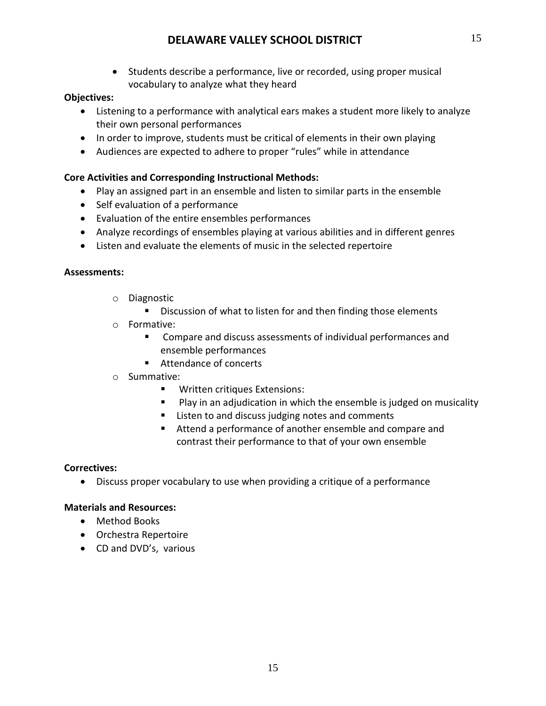• Students describe a performance, live or recorded, using proper musical vocabulary to analyze what they heard

## **Objectives:**

- Listening to a performance with analytical ears makes a student more likely to analyze their own personal performances
- In order to improve, students must be critical of elements in their own playing
- Audiences are expected to adhere to proper "rules" while in attendance

## **Core Activities and Corresponding Instructional Methods:**

- Play an assigned part in an ensemble and listen to similar parts in the ensemble
- Self evaluation of a performance
- Evaluation of the entire ensembles performances
- Analyze recordings of ensembles playing at various abilities and in different genres
- Listen and evaluate the elements of music in the selected repertoire

## **Assessments:**

- o Diagnostic
	- Discussion of what to listen for and then finding those elements
- o Formative:
	- Compare and discuss assessments of individual performances and ensemble performances
	- Attendance of concerts
- o Summative:
	- **Written critiques Extensions:**
	- **Play in an adjudication in which the ensemble is judged on musicality**
	- Listen to and discuss judging notes and comments
	- Attend a performance of another ensemble and compare and contrast their performance to that of your own ensemble

## **Correctives:**

Discuss proper vocabulary to use when providing a critique of a performance

## **Materials and Resources:**

- Method Books
- Orchestra Repertoire
- CD and DVD's, various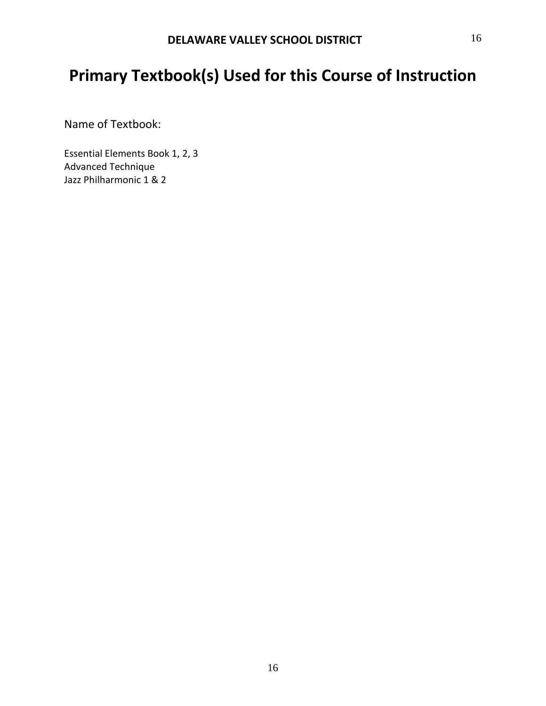## **Primary Textbook(s) Used for this Course of Instruction**

Name of Textbook:

Essential Elements Book 1, 2, 3 Advanced Technique Jazz Philharmonic 1 & 2